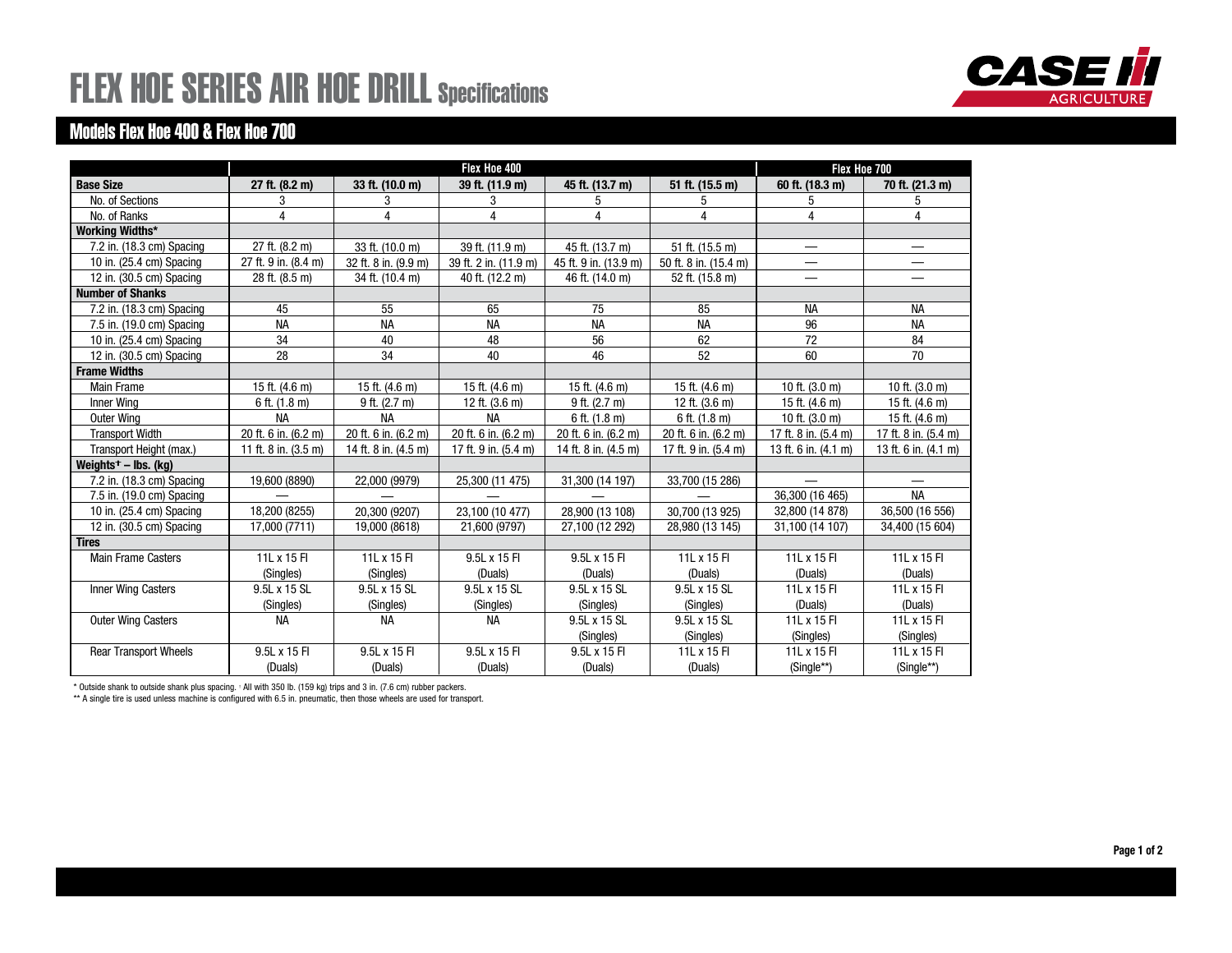## FLEX HOE SERIES AIR HOE DRILL Specifications



## Models Flex Hoe 400 & Flex Hoe 700

|                                    | Flex Hoe 400         |                           |                       |                       |                           | Flex Hoe 700             |                          |
|------------------------------------|----------------------|---------------------------|-----------------------|-----------------------|---------------------------|--------------------------|--------------------------|
| <b>Base Size</b>                   | 27 ft. (8.2 m)       | 33 ft. (10.0 m)           | 39 ft. (11.9 m)       | 45 ft. (13.7 m)       | 51 ft. (15.5 m)           | 60 ft. (18.3 m)          | 70 ft. (21.3 m)          |
| No. of Sections                    |                      | 3                         |                       |                       |                           | 5                        | 5                        |
| No. of Ranks                       | $\overline{4}$       | $\overline{4}$            | $\overline{4}$        | 4                     | 4                         | 4                        | 4                        |
| Working Widths*                    |                      |                           |                       |                       |                           |                          |                          |
| 7.2 in. (18.3 cm) Spacing          | 27 ft. (8.2 m)       | 33 ft. (10.0 m)           | 39 ft. (11.9 m)       | 45 ft. (13.7 m)       | 51 ft. (15.5 m)           | —                        | —                        |
| 10 in. (25.4 cm) Spacing           | 27 ft. 9 in. (8.4 m) | 32 ft. 8 in. (9.9 m)      | 39 ft. 2 in. (11.9 m) | 45 ft. 9 in. (13.9 m) | 50 ft. 8 in. (15.4 m)     | $\overline{\phantom{0}}$ |                          |
| 12 in. (30.5 cm) Spacing           | 28 ft. (8.5 m)       | 34 ft. (10.4 m)           | 40 ft. (12.2 m)       | 46 ft. (14.0 m)       | 52 ft. (15.8 m)           | —                        | $\overline{\phantom{0}}$ |
| <b>Number of Shanks</b>            |                      |                           |                       |                       |                           |                          |                          |
| 7.2 in. (18.3 cm) Spacing          | 45                   | 55                        | 65                    | 75                    | 85                        | <b>NA</b>                | <b>NA</b>                |
| 7.5 in. (19.0 cm) Spacing          | <b>NA</b>            | <b>NA</b>                 | <b>NA</b>             | <b>NA</b>             | <b>NA</b>                 | 96                       | <b>NA</b>                |
| 10 in. (25.4 cm) Spacing           | 34                   | 40                        | 48                    | 56                    | 62                        | 72                       | 84                       |
| 12 in. (30.5 cm) Spacing           | 28                   | 34                        | 40                    | 46                    | 52                        | 60                       | 70                       |
| <b>Frame Widths</b>                |                      |                           |                       |                       |                           |                          |                          |
| <b>Main Frame</b>                  | 15 ft. (4.6 m)       | 15 ft. (4.6 m)            | 15 ft. (4.6 m)        | 15 ft. (4.6 m)        | 15 ft. (4.6 m)            | 10 ft. $(3.0 \text{ m})$ | 10 ft. $(3.0 \text{ m})$ |
| Inner Wing                         | 6 ft. (1.8 m)        | $9$ ft. $(2.7 \text{ m})$ | 12 ft. (3.6 m)        | 9 ft. (2.7 m)         | 12 ft. $(3.6 \text{ m})$  | 15 ft. (4.6 m)           | 15 ft. (4.6 m)           |
| <b>Outer Wing</b>                  | <b>NA</b>            | <b>NA</b>                 | <b>NA</b>             | 6 ft. (1.8 m)         | $6$ ft. $(1.8 \text{ m})$ | 10 ft. $(3.0 \text{ m})$ | 15 ft. (4.6 m)           |
| <b>Transport Width</b>             | 20 ft. 6 in. (6.2 m) | 20 ft. 6 in. (6.2 m)      | 20 ft. 6 in. (6.2 m)  | 20 ft. 6 in. (6.2 m)  | 20 ft. 6 in. (6.2 m)      | 17 ft. 8 in. (5.4 m)     | 17 ft. 8 in. (5.4 m)     |
| Transport Height (max.)            | 11 ft. 8 in. (3.5 m) | 14 ft. 8 in. (4.5 m)      | 17 ft. 9 in. (5.4 m)  | 14 ft. 8 in. (4.5 m)  | 17 ft. 9 in. (5.4 m)      | 13 ft. 6 in. (4.1 m)     | 13 ft. 6 in. (4.1 m)     |
| Weights <sup>+</sup> $-$ lbs. (kg) |                      |                           |                       |                       |                           |                          |                          |
| 7.2 in. (18.3 cm) Spacing          | 19,600 (8890)        | 22,000 (9979)             | 25,300 (11 475)       | 31,300 (14 197)       | 33,700 (15 286)           | —                        |                          |
| 7.5 in. (19.0 cm) Spacing          |                      |                           |                       |                       |                           | 36,300 (16 465)          | <b>NA</b>                |
| 10 in. (25.4 cm) Spacing           | 18,200 (8255)        | 20,300 (9207)             | 23,100 (10 477)       | 28,900 (13 108)       | 30,700 (13 925)           | 32,800 (14 878)          | 36,500 (16 556)          |
| 12 in. (30.5 cm) Spacing           | 17,000 (7711)        | 19,000 (8618)             | 21,600 (9797)         | 27,100 (12 292)       | 28,980 (13 145)           | 31,100 (14 107)          | 34,400 (15 604)          |
| <b>Tires</b>                       |                      |                           |                       |                       |                           |                          |                          |
| <b>Main Frame Casters</b>          | 11L x 15 FI          | 11L x 15 FI               | 9.5L x 15 FI          | 9.5L x 15 FI          | 11L x 15 FI               | 11L x 15 FI              | 11L x 15 FI              |
|                                    | (Singles)            | (Singles)                 | (Duals)               | (Duals)               | (Duals)                   | (Duals)                  | (Duals)                  |
| Inner Wing Casters                 | 9.5L x 15 SL         | 9.5L x 15 SL              | 9.5L x 15 SL          | 9.5L x 15 SL          | 9.5L x 15 SL              | 11L x 15 FI              | 11L x 15 FI              |
|                                    | (Singles)            | (Singles)                 | (Singles)             | (Singles)             | (Singles)                 | (Duals)                  | (Duals)                  |
| <b>Outer Wing Casters</b>          | <b>NA</b>            | <b>NA</b>                 | <b>NA</b>             | 9.5L x 15 SL          | 9.5L x 15 SL              | 11L x 15 FI              | 11L x 15 FI              |
|                                    |                      |                           |                       | (Singles)             | (Singles)                 | (Singles)                | (Singles)                |
| <b>Rear Transport Wheels</b>       | 9.5L x 15 FI         | 9.5L x 15 FI              | 9.5L x 15 FI          | 9.5L x 15 FI          | 11L x 15 FI               | 11L x 15 FI              | 11L x 15 FI              |
|                                    | (Duals)              | (Duals)                   | (Duals)               | (Duals)               | (Duals)                   | (Single**)               | (Single**)               |

\* Outside shank to outside shank plus spacing. <sub>'</sub> All with 350 lb. (159 kg) trips and 3 in. (7.6 cm) rubber packers.<br>\*\* A single tire is used unless machine is configured with 6.5 in. pneumatic, then those wheels are used